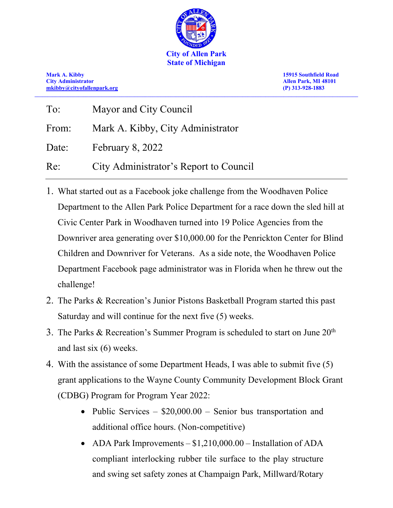

**Mark A. Kibby 15915 Southfield Road City Administrator Allen Park, MI 48101 [mkibby@cityofallenpark.org](mailto:mkibby@cityofallenpark.org) (P) 313-928-1883 \_\_\_\_\_\_\_\_\_\_\_\_\_\_\_\_\_\_\_\_\_\_\_\_\_\_\_\_\_\_\_\_\_\_\_\_\_\_\_\_\_\_\_\_\_\_\_\_\_\_\_\_\_\_\_\_\_\_\_\_\_\_\_\_\_\_\_\_\_\_\_\_\_\_\_\_\_\_\_\_\_\_\_\_\_\_\_\_\_\_\_\_\_\_\_\_\_\_\_\_\_\_\_\_\_\_\_\_\_\_\_\_\_\_\_\_\_\_\_\_\_\_\_\_\_\_**

| To:   | Mayor and City Council                 |
|-------|----------------------------------------|
| From: | Mark A. Kibby, City Administrator      |
| Date: | February 8, 2022                       |
| Re:   | City Administrator's Report to Council |

- 1. What started out as a Facebook joke challenge from the Woodhaven Police Department to the Allen Park Police Department for a race down the sled hill at Civic Center Park in Woodhaven turned into 19 Police Agencies from the Downriver area generating over \$10,000.00 for the Penrickton Center for Blind Children and Downriver for Veterans. As a side note, the Woodhaven Police Department Facebook page administrator was in Florida when he threw out the challenge!
- 2. The Parks & Recreation's Junior Pistons Basketball Program started this past Saturday and will continue for the next five (5) weeks.
- 3. The Parks & Recreation's Summer Program is scheduled to start on June  $20<sup>th</sup>$ and last six (6) weeks.
- 4. With the assistance of some Department Heads, I was able to submit five (5) grant applications to the Wayne County Community Development Block Grant (CDBG) Program for Program Year 2022:
	- Public Services  $-$  \$20,000.00  $-$  Senior bus transportation and additional office hours. (Non-competitive)
	- ADA Park Improvements \$1,210,000.00 Installation of ADA compliant interlocking rubber tile surface to the play structure and swing set safety zones at Champaign Park, Millward/Rotary